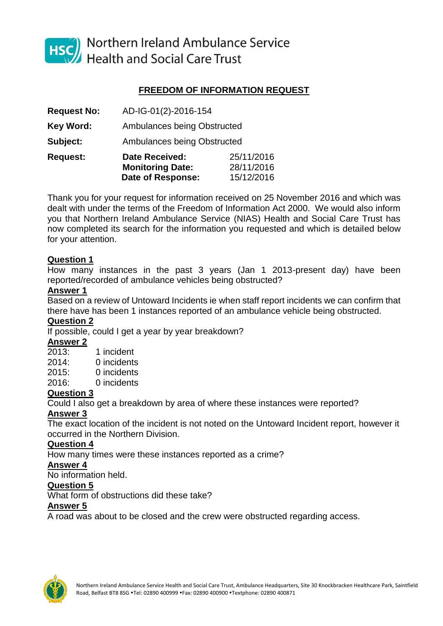

HSC Northern Ireland Ambulance Service<br>Health and Social Care Trust

# **FREEDOM OF INFORMATION REQUEST**

| <b>Request No:</b> | AD-IG-01(2)-2016-154        |            |
|--------------------|-----------------------------|------------|
| <b>Key Word:</b>   | Ambulances being Obstructed |            |
| Subject:           | Ambulances being Obstructed |            |
| <b>Request:</b>    | <b>Date Received:</b>       | 25/11/2016 |
|                    | <b>Monitoring Date:</b>     | 28/11/2016 |
|                    | <b>Date of Response:</b>    | 15/12/2016 |

Thank you for your request for information received on 25 November 2016 and which was dealt with under the terms of the Freedom of Information Act 2000. We would also inform you that Northern Ireland Ambulance Service (NIAS) Health and Social Care Trust has now completed its search for the information you requested and which is detailed below for your attention.

## **Question 1**

How many instances in the past 3 years (Jan 1 2013-present day) have been reported/recorded of ambulance vehicles being obstructed?

## **Answer 1**

Based on a review of Untoward Incidents ie when staff report incidents we can confirm that there have has been 1 instances reported of an ambulance vehicle being obstructed.

## **Question 2**

If possible, could I get a year by year breakdown?

### **Answer 2**

2013: 1 incident 2014: 0 incidents 2015: 0 incidents 2016: 0 incidents

## **Question 3**

Could I also get a breakdown by area of where these instances were reported?

## **Answer 3**

The exact location of the incident is not noted on the Untoward Incident report, however it occurred in the Northern Division.

### **Question 4**

How many times were these instances reported as a crime?

### **Answer 4**

No information held.

### **Question 5**

What form of obstructions did these take?

## **Answer 5**

A road was about to be closed and the crew were obstructed regarding access.